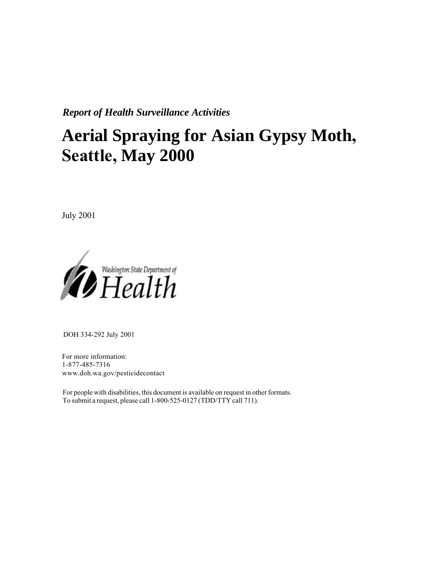*Report of Health Surveillance Activities*

# **Aerial Spraying for Asian Gypsy Moth, Seattle, May 2000**

July 2001



DOH 334-292 July 2001

For more information: 1-877-485-7316 www.doh.wa.gov/pesticidecontact

For people with disabilities, this document is available on request in other formats. To submit a request, please call 1-800-525-0127 (TD[D/TTY call 711\).](http://www.doh.wa.gov/pesticides)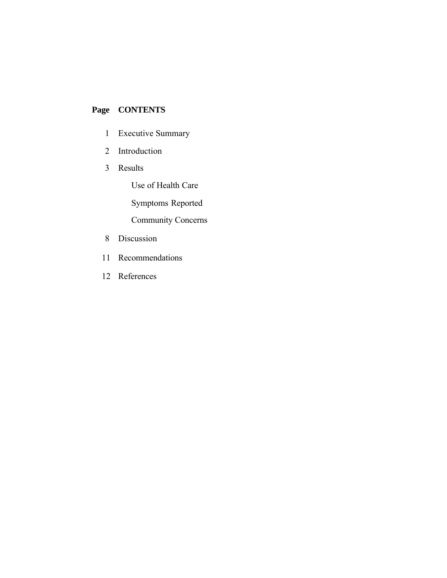## **Page CONTENTS**

- 1 Executive Summary
- 2 Introduction
- 3 Results

Use of Health Care

Symptoms Reported

Community Concerns

- 8 Discussion
- 11 Recommendations
- 12 References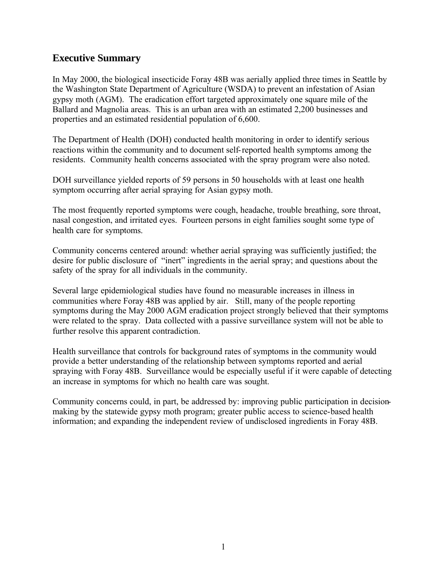#### **Executive Summary**

In May 2000, the biological insecticide Foray 48B was aerially applied three times in Seattle by the Washington State Department of Agriculture (WSDA) to prevent an infestation of Asian gypsy moth (AGM). The eradication effort targeted approximately one square mile of the Ballard and Magnolia areas. This is an urban area with an estimated 2,200 businesses and properties and an estimated residential population of 6,600.

The Department of Health (DOH) conducted health monitoring in order to identify serious reactions within the community and to document self-reported health symptoms among the residents. Community health concerns associated with the spray program were also noted.

DOH surveillance yielded reports of 59 persons in 50 households with at least one health symptom occurring after aerial spraying for Asian gypsy moth.

The most frequently reported symptoms were cough, headache, trouble breathing, sore throat, nasal congestion, and irritated eyes. Fourteen persons in eight families sought some type of health care for symptoms.

Community concerns centered around: whether aerial spraying was sufficiently justified; the desire for public disclosure of "inert" ingredients in the aerial spray; and questions about the safety of the spray for all individuals in the community.

Several large epidemiological studies have found no measurable increases in illness in communities where Foray 48B was applied by air. Still, many of the people reporting symptoms during the May 2000 AGM eradication project strongly believed that their symptoms were related to the spray. Data collected with a passive surveillance system will not be able to further resolve this apparent contradiction.

Health surveillance that controls for background rates of symptoms in the community would provide a better understanding of the relationship between symptoms reported and aerial spraying with Foray 48B. Surveillance would be especially useful if it were capable of detecting an increase in symptoms for which no health care was sought.

Community concerns could, in part, be addressed by: improving public participation in decisionmaking by the statewide gypsy moth program; greater public access to science-based health information; and expanding the independent review of undisclosed ingredients in Foray 48B.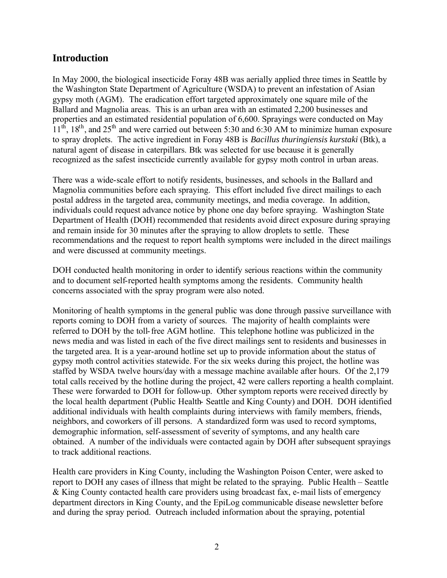#### **Introduction**

In May 2000, the biological insecticide Foray 48B was aerially applied three times in Seattle by the Washington State Department of Agriculture (WSDA) to prevent an infestation of Asian gypsy moth (AGM). The eradication effort targeted approximately one square mile of the Ballard and Magnolia areas. This is an urban area with an estimated 2,200 businesses and properties and an estimated residential population of 6,600. Sprayings were conducted on May  $11<sup>th</sup>$ ,  $18<sup>th</sup>$ , and  $25<sup>th</sup>$  and were carried out between 5:30 and 6:30 AM to minimize human exposure to spray droplets. The active ingredient in Foray 48B is *Bacillus thuringiensis kurstaki* (Btk), a natural agent of disease in caterpillars. Btk was selected for use because it is generally recognized as the safest insecticide currently available for gypsy moth control in urban areas.

There was a wide-scale effort to notify residents, businesses, and schools in the Ballard and Magnolia communities before each spraying. This effort included five direct mailings to each postal address in the targeted area, community meetings, and media coverage. In addition, individuals could request advance notice by phone one day before spraying. Washington State Department of Health (DOH) recommended that residents avoid direct exposure during spraying and remain inside for 30 minutes after the spraying to allow droplets to settle. These recommendations and the request to report health symptoms were included in the direct mailings and were discussed at community meetings.

DOH conducted health monitoring in order to identify serious reactions within the community and to document self-reported health symptoms among the residents. Community health concerns associated with the spray program were also noted.

Monitoring of health symptoms in the general public was done through passive surveillance with reports coming to DOH from a variety of sources. The majority of health complaints were referred to DOH by the toll-free AGM hotline. This telephone hotline was publicized in the news media and was listed in each of the five direct mailings sent to residents and businesses in the targeted area. It is a year-around hotline set up to provide information about the status of gypsy moth control activities statewide. For the six weeks during this project, the hotline was staffed by WSDA twelve hours/day with a message machine available after hours. Of the 2,179 total calls received by the hotline during the project, 42 were callers reporting a health complaint. These were forwarded to DOH for follow-up. Other symptom reports were received directly by the local health department (Public Health- Seattle and King County) and DOH. DOH identified additional individuals with health complaints during interviews with family members, friends, neighbors, and coworkers of ill persons. A standardized form was used to record symptoms, demographic information, self-assessment of severity of symptoms, and any health care obtained. A number of the individuals were contacted again by DOH after subsequent sprayings to track additional reactions.

Health care providers in King County, including the Washington Poison Center, were asked to report to DOH any cases of illness that might be related to the spraying. Public Health – Seattle & King County contacted health care providers using broadcast fax, e-mail lists of emergency department directors in King County, and the EpiLog communicable disease newsletter before and during the spray period. Outreach included information about the spraying, potential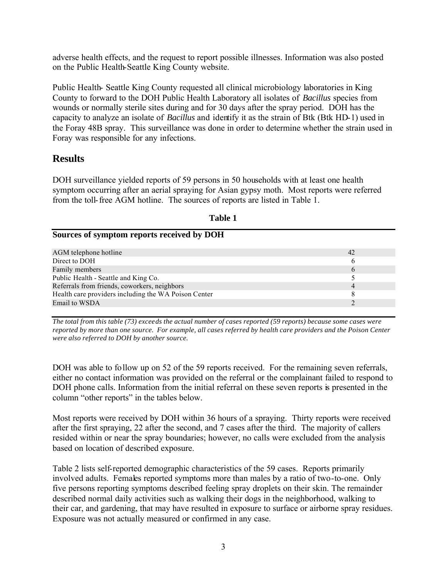adverse health effects, and the request to report possible illnesses. Information was also posted on the Public Health-Seattle King County website.

Public Health- Seattle King County requested all clinical microbiology laboratories in King County to forward to the DOH Public Health Laboratory all isolates of *Bacillus* species from wounds or normally sterile sites during and for 30 days after the spray period. DOH has the capacity to analyze an isolate of *Bacillus* and identify it as the strain of Btk (Btk HD-1) used in the Foray 48B spray. This surveillance was done in order to determine whether the strain used in Foray was responsible for any infections.

#### **Results**

**Sources of symptom reports received by DOH**

DOH surveillance yielded reports of 59 persons in 50 households with at least one health symptom occurring after an aerial spraying for Asian gypsy moth. Most reports were referred from the toll-free AGM hotline. The sources of reports are listed in Table 1.

| AGM telephone hotline<br>42                          |  |
|------------------------------------------------------|--|
| Direct to DOH                                        |  |
| Family members<br>h                                  |  |
| Public Health - Seattle and King Co.                 |  |
| Referrals from friends, coworkers, neighbors<br>4    |  |
| Health care providers including the WA Poison Center |  |
| Email to WSDA                                        |  |

**Table 1**

*The total from this table (73) exceeds the actual number of cases reported (59 reports) because some cases were reported by more than one source. For example, all cases referred by health care providers and the Poison Center were also referred to DOH by another source.* 

DOH was able to follow up on 52 of the 59 reports received. For the remaining seven referrals, either no contact information was provided on the referral or the complainant failed to respond to DOH phone calls. Information from the initial referral on these seven reports is presented in the column "other reports" in the tables below.

Most reports were received by DOH within 36 hours of a spraying. Thirty reports were received after the first spraying, 22 after the second, and 7 cases after the third. The majority of callers resided within or near the spray boundaries; however, no calls were excluded from the analysis based on location of described exposure.

Table 2 lists self-reported demographic characteristics of the 59 cases. Reports primarily involved adults. Females reported symptoms more than males by a ratio of two-to-one. Only five persons reporting symptoms described feeling spray droplets on their skin. The remainder described normal daily activities such as walking their dogs in the neighborhood, walking to their car, and gardening, that may have resulted in exposure to surface or airborne spray residues. Exposure was not actually measured or confirmed in any case.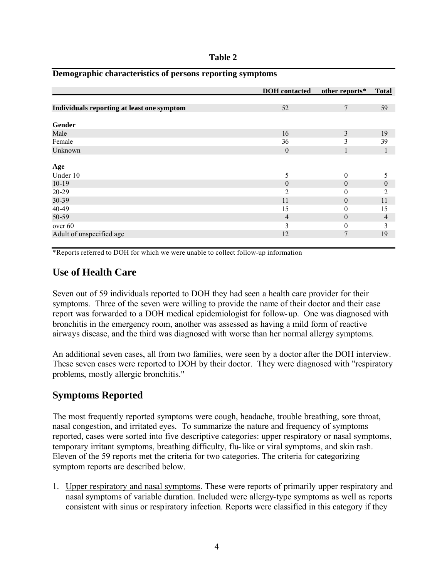| וחו<br>z |  |
|----------|--|
|----------|--|

|                                            | <b>DOH</b> contacted | other reports*   | <b>Total</b>   |
|--------------------------------------------|----------------------|------------------|----------------|
|                                            |                      |                  |                |
| Individuals reporting at least one symptom | 52                   | $\overline{7}$   | 59             |
|                                            |                      |                  |                |
| Gender                                     |                      |                  |                |
| Male                                       | 16                   | $\overline{3}$   | 19             |
| Female                                     | 36                   | 3                | 39             |
| Unknown                                    | $\theta$             | 1                | $\mathbf{1}$   |
|                                            |                      |                  |                |
| Age                                        |                      |                  |                |
| Under 10                                   | 5                    | $\theta$         | 5              |
| $10-19$                                    | $\theta$             | $\boldsymbol{0}$ | $\theta$       |
| $20 - 29$                                  | 2                    | $\overline{0}$   | 2              |
| 30-39                                      | 11                   | $\boldsymbol{0}$ | 11             |
| 40-49                                      | 15                   | 0                | 15             |
| 50-59                                      | $\overline{4}$       | $\theta$         | $\overline{4}$ |
| over 60                                    | 3                    | $\overline{0}$   | 3              |
| Adult of unspecified age                   | 12                   | $\overline{7}$   | 19             |

#### **Demographic characteristics of persons reporting symptoms**

\*Reports referred to DOH for which we were unable to collect follow-up information

#### **Use of Health Care**

Seven out of 59 individuals reported to DOH they had seen a health care provider for their symptoms. Three of the seven were willing to provide the name of their doctor and their case report was forwarded to a DOH medical epidemiologist for follow-up. One was diagnosed with bronchitis in the emergency room, another was assessed as having a mild form of reactive airways disease, and the third was diagnosed with worse than her normal allergy symptoms.

An additional seven cases, all from two families, were seen by a doctor after the DOH interview. These seven cases were reported to DOH by their doctor. They were diagnosed with "respiratory problems, mostly allergic bronchitis."

#### **Symptoms Reported**

The most frequently reported symptoms were cough, headache, trouble breathing, sore throat, nasal congestion, and irritated eyes. To summarize the nature and frequency of symptoms reported, cases were sorted into five descriptive categories: upper respiratory or nasal symptoms, temporary irritant symptoms, breathing difficulty, flu-like or viral symptoms, and skin rash. Eleven of the 59 reports met the criteria for two categories. The criteria for categorizing symptom reports are described below.

1. Upper respiratory and nasal symptoms. These were reports of primarily upper respiratory and nasal symptoms of variable duration. Included were allergy-type symptoms as well as reports consistent with sinus or respiratory infection. Reports were classified in this category if they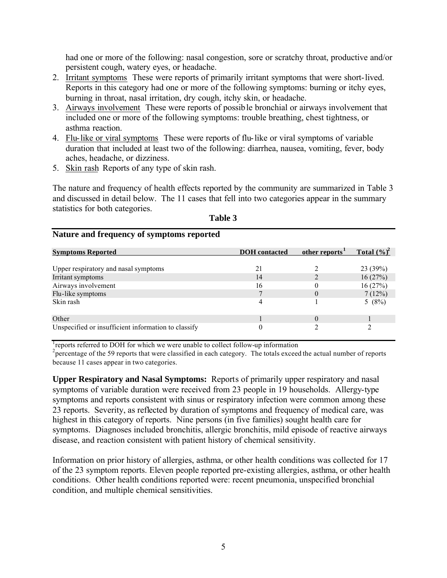had one or more of the following: nasal congestion, sore or scratchy throat, productive and/or persistent cough, watery eyes, or headache.

- 2. Irritant symptoms These were reports of primarily irritant symptoms that were short-lived. Reports in this category had one or more of the following symptoms: burning or itchy eyes, burning in throat, nasal irritation, dry cough, itchy skin, or headache.
- 3. Airways involvement These were reports of possible bronchial or airways involvement that included one or more of the following symptoms: trouble breathing, chest tightness, or asthma reaction.
- 4. Flu-like or viral symptoms These were reports of flu-like or viral symptoms of variable duration that included at least two of the following: diarrhea, nausea, vomiting, fever, body aches, headache, or dizziness.
- 5. Skin rash Reports of any type of skin rash.

**Nature and frequency of symptoms reported**

The nature and frequency of health effects reported by the community are summarized in Table 3 and discussed in detail below. The 11 cases that fell into two categories appear in the summary statistics for both categories.

| <b>Symptoms Reported</b>                            | <b>DOH</b> contacted | other reports <sup>1</sup> | Total $(\%)^2$ |
|-----------------------------------------------------|----------------------|----------------------------|----------------|
| Upper respiratory and nasal symptoms                | 21                   |                            | 23(39%)        |
| Irritant symptoms                                   | 14                   |                            | 16(27%)        |
| Airways involvement                                 | 16                   |                            | 16(27%)        |
| Flu-like symptoms                                   |                      |                            | 7(12%)         |
| Skin rash                                           |                      |                            | 5 $(8%)$       |
| Other                                               |                      | $\Omega$                   |                |
| Unspecified or insufficient information to classify | 0                    |                            |                |

**Table 3**

reports referred to DOH for which we were unable to collect follow-up information

 $^{2}$  percentage of the 59 reports that were classified in each category. The totals exceed the actual number of reports because 11 cases appear in two categories.

**Upper Respiratory and Nasal Symptoms:** Reports of primarily upper respiratory and nasal symptoms of variable duration were received from 23 people in 19 households. Allergy-type symptoms and reports consistent with sinus or respiratory infection were common among these 23 reports. Severity, as reflected by duration of symptoms and frequency of medical care, was highest in this category of reports. Nine persons (in five families) sought health care for symptoms. Diagnoses included bronchitis, allergic bronchitis, mild episode of reactive airways disease, and reaction consistent with patient history of chemical sensitivity.

Information on prior history of allergies, asthma, or other health conditions was collected for 17 of the 23 symptom reports. Eleven people reported pre-existing allergies, asthma, or other health conditions. Other health conditions reported were: recent pneumonia, unspecified bronchial condition, and multiple chemical sensitivities.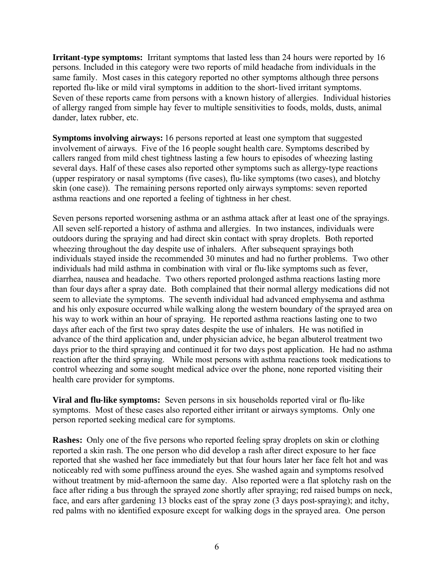**Irritant-type symptoms:** Irritant symptoms that lasted less than 24 hours were reported by 16 persons. Included in this category were two reports of mild headache from individuals in the same family. Most cases in this category reported no other symptoms although three persons reported flu-like or mild viral symptoms in addition to the short-lived irritant symptoms. Seven of these reports came from persons with a known history of allergies. Individual histories of allergy ranged from simple hay fever to multiple sensitivities to foods, molds, dusts, animal dander, latex rubber, etc.

**Symptoms involving airways:** 16 persons reported at least one symptom that suggested involvement of airways. Five of the 16 people sought health care. Symptoms described by callers ranged from mild chest tightness lasting a few hours to episodes of wheezing lasting several days. Half of these cases also reported other symptoms such as allergy-type reactions (upper respiratory or nasal symptoms (five cases), flu-like symptoms (two cases), and blotchy skin (one case)). The remaining persons reported only airways symptoms: seven reported asthma reactions and one reported a feeling of tightness in her chest.

Seven persons reported worsening asthma or an asthma attack after at least one of the sprayings. All seven self-reported a history of asthma and allergies. In two instances, individuals were outdoors during the spraying and had direct skin contact with spray droplets. Both reported wheezing throughout the day despite use of inhalers. After subsequent sprayings both individuals stayed inside the recommended 30 minutes and had no further problems. Two other individuals had mild asthma in combination with viral or flu-like symptoms such as fever, diarrhea, nausea and headache. Two others reported prolonged asthma reactions lasting more than four days after a spray date. Both complained that their normal allergy medications did not seem to alleviate the symptoms. The seventh individual had advanced emphysema and asthma and his only exposure occurred while walking along the western boundary of the sprayed area on his way to work within an hour of spraying. He reported asthma reactions lasting one to two days after each of the first two spray dates despite the use of inhalers. He was notified in advance of the third application and, under physician advice, he began albuterol treatment two days prior to the third spraying and continued it for two days post application. He had no asthma reaction after the third spraying. While most persons with asthma reactions took medications to control wheezing and some sought medical advice over the phone, none reported visiting their health care provider for symptoms.

**Viral and flu-like symptoms:** Seven persons in six households reported viral or flu-like symptoms. Most of these cases also reported either irritant or airways symptoms. Only one person reported seeking medical care for symptoms.

**Rashes:** Only one of the five persons who reported feeling spray droplets on skin or clothing reported a skin rash. The one person who did develop a rash after direct exposure to her face reported that she washed her face immediately but that four hours later her face felt hot and was noticeably red with some puffiness around the eyes. She washed again and symptoms resolved without treatment by mid-afternoon the same day. Also reported were a flat splotchy rash on the face after riding a bus through the sprayed zone shortly after spraying; red raised bumps on neck, face, and ears after gardening 13 blocks east of the spray zone (3 days post-spraying); and itchy, red palms with no identified exposure except for walking dogs in the sprayed area. One person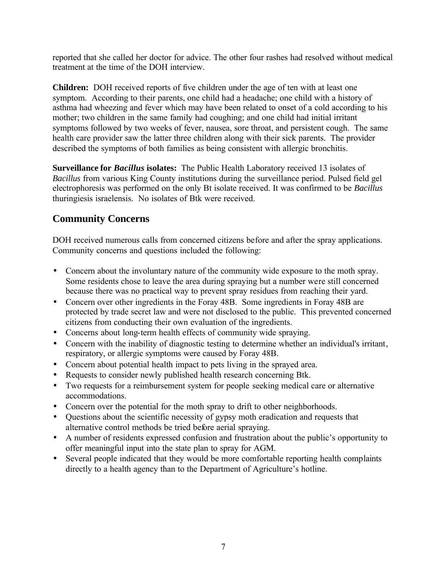reported that she called her doctor for advice. The other four rashes had resolved without medical treatment at the time of the DOH interview.

**Children:** DOH received reports of five children under the age of ten with at least one symptom. According to their parents, one child had a headache; one child with a history of asthma had wheezing and fever which may have been related to onset of a cold according to his mother; two children in the same family had coughing; and one child had initial irritant symptoms followed by two weeks of fever, nausea, sore throat, and persistent cough. The same health care provider saw the latter three children along with their sick parents. The provider described the symptoms of both families as being consistent with allergic bronchitis.

**Surveillance for** *Bacillus* **isolates:** The Public Health Laboratory received 13 isolates of *Bacillus* from various King County institutions during the surveillance period. Pulsed field gel electrophoresis was performed on the only Bt isolate received. It was confirmed to be *Bacillus* thuringiesis israelensis. No isolates of Btk were received.

### **Community Concerns**

DOH received numerous calls from concerned citizens before and after the spray applications. Community concerns and questions included the following:

- Concern about the involuntary nature of the community wide exposure to the moth spray. Some residents chose to leave the area during spraying but a number were still concerned because there was no practical way to prevent spray residues from reaching their yard.
- Concern over other ingredients in the Foray 48B. Some ingredients in Foray 48B are protected by trade secret law and were not disclosed to the public. This prevented concerned citizens from conducting their own evaluation of the ingredients.
- Concerns about long-term health effects of community wide spraying.
- Concern with the inability of diagnostic testing to determine whether an individual's irritant, respiratory, or allergic symptoms were caused by Foray 48B.
- Concern about potential health impact to pets living in the sprayed area.
- Requests to consider newly published health research concerning Btk.
- Two requests for a reimbursement system for people seeking medical care or alternative accommodations.
- Concern over the potential for the moth spray to drift to other neighborhoods.
- Questions about the scientific necessity of gypsy moth eradication and requests that alternative control methods be tried before aerial spraying.
- A number of residents expressed confusion and frustration about the public's opportunity to offer meaningful input into the state plan to spray for AGM.
- Several people indicated that they would be more comfortable reporting health complaints directly to a health agency than to the Department of Agriculture's hotline.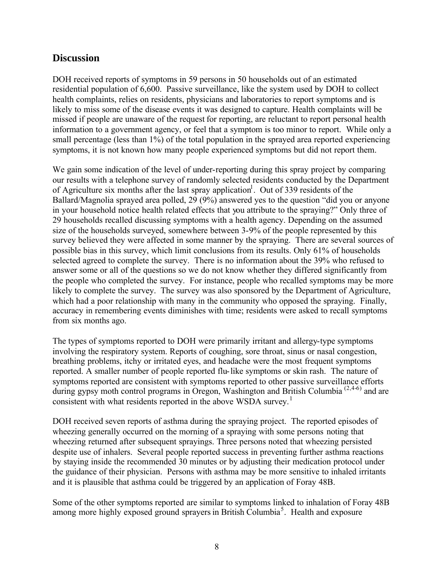#### **Discussion**

DOH received reports of symptoms in 59 persons in 50 households out of an estimated residential population of 6,600. Passive surveillance, like the system used by DOH to collect health complaints, relies on residents, physicians and laboratories to report symptoms and is likely to miss some of the disease events it was designed to capture. Health complaints will be missed if people are unaware of the request for reporting, are reluctant to report personal health information to a government agency, or feel that a symptom is too minor to report. While only a small percentage (less than 1%) of the total population in the sprayed area reported experiencing symptoms, it is not known how many people experienced symptoms but did not report them.

We gain some indication of the level of under-reporting during this spray project by comparing our results with a telephone survey of randomly selected residents conducted by the Department of Agriculture six months after the last spray application<sup>1</sup>. Out of 339 residents of the Ballard/Magnolia sprayed area polled, 29 (9%) answered yes to the question "did you or anyone in your household notice health related effects that you attribute to the spraying?" Only three of 29 households recalled discussing symptoms with a health agency. Depending on the assumed size of the households surveyed, somewhere between 3-9% of the people represented by this survey believed they were affected in some manner by the spraying. There are several sources of possible bias in this survey, which limit conclusions from its results. Only 61% of households selected agreed to complete the survey. There is no information about the 39% who refused to answer some or all of the questions so we do not know whether they differed significantly from the people who completed the survey. For instance, people who recalled symptoms may be more likely to complete the survey. The survey was also sponsored by the Department of Agriculture, which had a poor relationship with many in the community who opposed the spraying. Finally, accuracy in remembering events diminishes with time; residents were asked to recall symptoms from six months ago.

The types of symptoms reported to DOH were primarily irritant and allergy-type symptoms involving the respiratory system. Reports of coughing, sore throat, sinus or nasal congestion, breathing problems, itchy or irritated eyes, and headache were the most frequent symptoms reported. A smaller number of people reported flu-like symptoms or skin rash. The nature of symptoms reported are consistent with symptoms reported to other passive surveillance efforts during gypsy moth control programs in Oregon, Washington and British Columbia <sup>(2,4-6)</sup> and are consistent with what residents reported in the above WSDA survey.<sup>1</sup>

DOH received seven reports of asthma during the spraying project. The reported episodes of wheezing generally occurred on the morning of a spraying with some persons noting that wheezing returned after subsequent sprayings. Three persons noted that wheezing persisted despite use of inhalers. Several people reported success in preventing further asthma reactions by staying inside the recommended 30 minutes or by adjusting their medication protocol under the guidance of their physician. Persons with asthma may be more sensitive to inhaled irritants and it is plausible that asthma could be triggered by an application of Foray 48B.

Some of the other symptoms reported are similar to symptoms linked to inhalation of Foray 48B among more highly exposed ground sprayers in British Columbia<sup>5</sup>. Health and exposure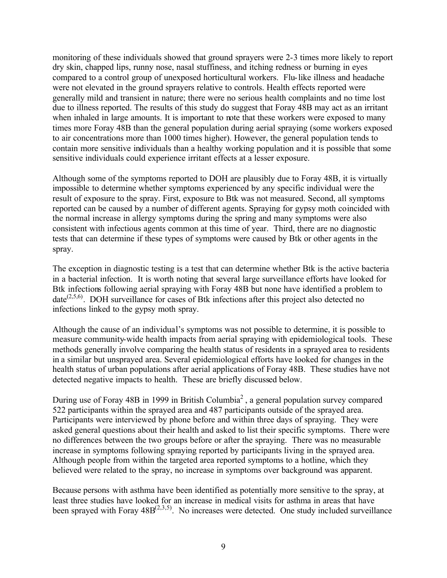monitoring of these individuals showed that ground sprayers were 2-3 times more likely to report dry skin, chapped lips, runny nose, nasal stuffiness, and itching redness or burning in eyes compared to a control group of unexposed horticultural workers. Flu-like illness and headache were not elevated in the ground sprayers relative to controls. Health effects reported were generally mild and transient in nature; there were no serious health complaints and no time lost due to illness reported. The results of this study do suggest that Foray 48B may act as an irritant when inhaled in large amounts. It is important to note that these workers were exposed to many times more Foray 48B than the general population during aerial spraying (some workers exposed to air concentrations more than 1000 times higher). However, the general population tends to contain more sensitive individuals than a healthy working population and it is possible that some sensitive individuals could experience irritant effects at a lesser exposure.

Although some of the symptoms reported to DOH are plausibly due to Foray 48B, it is virtually impossible to determine whether symptoms experienced by any specific individual were the result of exposure to the spray. First, exposure to Btk was not measured. Second, all symptoms reported can be caused by a number of different agents. Spraying for gypsy moth coincided with the normal increase in allergy symptoms during the spring and many symptoms were also consistent with infectious agents common at this time of year. Third, there are no diagnostic tests that can determine if these types of symptoms were caused by Btk or other agents in the spray.

The exception in diagnostic testing is a test that can determine whether Btk is the active bacteria in a bacterial infection. It is worth noting that several large surveillance efforts have looked for Btk infections following aerial spraying with Foray 48B but none have identified a problem to date<sup> $(2,5,6)$ </sup>. DOH surveillance for cases of Btk infections after this project also detected no infections linked to the gypsy moth spray.

Although the cause of an individual's symptoms was not possible to determine, it is possible to measure community-wide health impacts from aerial spraying with epidemiological tools. These methods generally involve comparing the health status of residents in a sprayed area to residents in a similar but unsprayed area. Several epidemiological efforts have looked for changes in the health status of urban populations after aerial applications of Foray 48B. These studies have not detected negative impacts to health. These are briefly discussed below.

During use of Foray 48B in 1999 in British Columbia<sup>2</sup>, a general population survey compared 522 participants within the sprayed area and 487 participants outside of the sprayed area. Participants were interviewed by phone before and within three days of spraying. They were asked general questions about their health and asked to list their specific symptoms. There were no differences between the two groups before or after the spraying. There was no measurable increase in symptoms following spraying reported by participants living in the sprayed area. Although people from within the targeted area reported symptoms to a hotline, which they believed were related to the spray, no increase in symptoms over background was apparent.

Because persons with asthma have been identified as potentially more sensitive to the spray, at least three studies have looked for an increase in medical visits for asthma in areas that have been sprayed with Foray  $48B^{(2,3,5)}$ . No increases were detected. One study included surveillance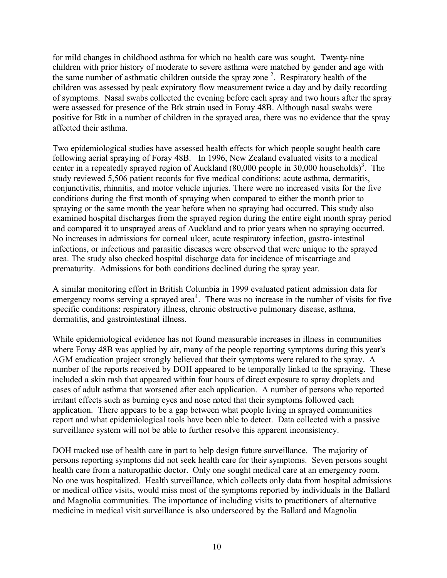for mild changes in childhood asthma for which no health care was sought. Twenty-nine children with prior history of moderate to severe asthma were matched by gender and age with the same number of asthmatic children outside the spray zone<sup>2</sup>. Respiratory health of the children was assessed by peak expiratory flow measurement twice a day and by daily recording of symptoms. Nasal swabs collected the evening before each spray and two hours after the spray were assessed for presence of the Btk strain used in Foray 48B. Although nasal swabs were positive for Btk in a number of children in the sprayed area, there was no evidence that the spray affected their asthma.

Two epidemiological studies have assessed health effects for which people sought health care following aerial spraying of Foray 48B. In 1996, New Zealand evaluated visits to a medical center in a repeatedly sprayed region of Auckland  $(80,000$  people in 30,000 households)<sup>3</sup>. The study reviewed 5,506 patient records for five medical conditions: acute asthma, dermatitis, conjunctivitis, rhinnitis, and motor vehicle injuries. There were no increased visits for the five conditions during the first month of spraying when compared to either the month prior to spraying or the same month the year before when no spraying had occurred. This study also examined hospital discharges from the sprayed region during the entire eight month spray period and compared it to unsprayed areas of Auckland and to prior years when no spraying occurred. No increases in admissions for corneal ulcer, acute respiratory infection, gastro-intestinal infections, or infectious and parasitic diseases were observed that were unique to the sprayed area. The study also checked hospital discharge data for incidence of miscarriage and prematurity. Admissions for both conditions declined during the spray year.

A similar monitoring effort in British Columbia in 1999 evaluated patient admission data for emergency rooms serving a sprayed area<sup>4</sup>. There was no increase in the number of visits for five specific conditions: respiratory illness, chronic obstructive pulmonary disease, asthma, dermatitis, and gastrointestinal illness.

While epidemiological evidence has not found measurable increases in illness in communities where Foray 48B was applied by air, many of the people reporting symptoms during this year's AGM eradication project strongly believed that their symptoms were related to the spray. A number of the reports received by DOH appeared to be temporally linked to the spraying. These included a skin rash that appeared within four hours of direct exposure to spray droplets and cases of adult asthma that worsened after each application. A number of persons who reported irritant effects such as burning eyes and nose noted that their symptoms followed each application. There appears to be a gap between what people living in sprayed communities report and what epidemiological tools have been able to detect. Data collected with a passive surveillance system will not be able to further resolve this apparent inconsistency.

DOH tracked use of health care in part to help design future surveillance. The majority of persons reporting symptoms did not seek health care for their symptoms. Seven persons sought health care from a naturopathic doctor. Only one sought medical care at an emergency room. No one was hospitalized. Health surveillance, which collects only data from hospital admissions or medical office visits, would miss most of the symptoms reported by individuals in the Ballard and Magnolia communities. The importance of including visits to practitioners of alternative medicine in medical visit surveillance is also underscored by the Ballard and Magnolia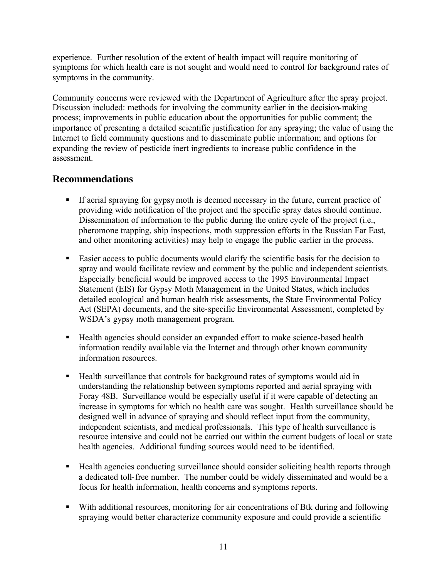experience. Further resolution of the extent of health impact will require monitoring of symptoms for which health care is not sought and would need to control for background rates of symptoms in the community.

Community concerns were reviewed with the Department of Agriculture after the spray project. Discussion included: methods for involving the community earlier in the decision-making process; improvements in public education about the opportunities for public comment; the importance of presenting a detailed scientific justification for any spraying; the value of using the Internet to field community questions and to disseminate public information; and options for expanding the review of pesticide inert ingredients to increase public confidence in the assessment.

#### **Recommendations**

- If aerial spraying for gypsy moth is deemed necessary in the future, current practice of providing wide notification of the project and the specific spray dates should continue. Dissemination of information to the public during the entire cycle of the project (i.e., pheromone trapping, ship inspections, moth suppression efforts in the Russian Far East, and other monitoring activities) may help to engage the public earlier in the process.
- **Easier access to public documents would clarify the scientific basis for the decision to** spray and would facilitate review and comment by the public and independent scientists. Especially beneficial would be improved access to the 1995 Environmental Impact Statement (EIS) for Gypsy Moth Management in the United States, which includes detailed ecological and human health risk assessments, the State Environmental Policy Act (SEPA) documents, and the site-specific Environmental Assessment, completed by WSDA's gypsy moth management program.
- Health agencies should consider an expanded effort to make science-based health information readily available via the Internet and through other known community information resources.
- **Health surveillance that controls for background rates of symptoms would aid in** understanding the relationship between symptoms reported and aerial spraying with Foray 48B. Surveillance would be especially useful if it were capable of detecting an increase in symptoms for which no health care was sought. Health surveillance should be designed well in advance of spraying and should reflect input from the community, independent scientists, and medical professionals. This type of health surveillance is resource intensive and could not be carried out within the current budgets of local or state health agencies. Additional funding sources would need to be identified.
- Health agencies conducting surveillance should consider soliciting health reports through a dedicated toll-free number. The number could be widely disseminated and would be a focus for health information, health concerns and symptoms reports.
- ß With additional resources, monitoring for air concentrations of Btk during and following spraying would better characterize community exposure and could provide a scientific